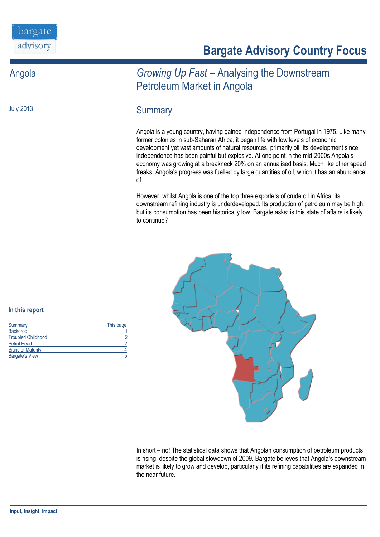July 2013

# **Bargate Advisory Country Focus**

## Angola *Growing Up Fast –* Analysing the Downstream Petroleum Market in Angola

### **Summary**

Angola is a young country, having gained independence from Portugal in 1975. Like many former colonies in sub-Saharan Africa, it began life with low levels of economic development yet vast amounts of natural resources, primarily oil. Its development since independence has been painful but explosive. At one point in the mid-2000s Angola's economy was growing at a breakneck 20% on an annualised basis. Much like other speed freaks, Angola's progress was fuelled by large quantities of oil, which it has an abundance of.

However, whilst Angola is one of the top three exporters of crude oil in Africa, its downstream refining industry is underdeveloped. Its production of petroleum may be high, but its consumption has been historically low. Bargate asks: is this state of affairs is likely to continue?



In short – no! The statistical data shows that Angolan consumption of petroleum products is rising, despite the global slowdown of 2009. Bargate believes that Angola's downstream market is likely to grow and develop, particularly if its refining capabilities are expanded in the near future.

#### **In this report**

| Summary                   | This page |
|---------------------------|-----------|
| <b>Backdrop</b>           |           |
| <b>Troubled Childhood</b> |           |
| <b>Petrol Head</b>        |           |
| <b>Signs of Maturity</b>  |           |
| <b>Bargate's View</b>     |           |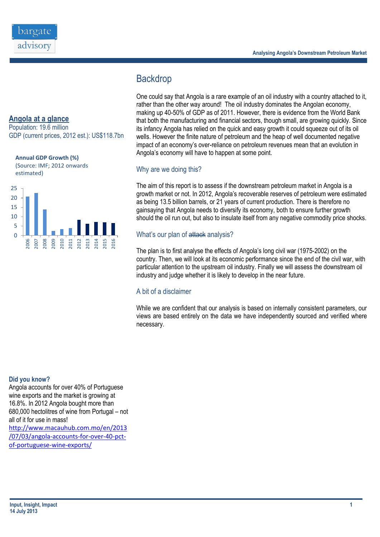

Population: 19.6 million GDP (current prices, 2012 est.): US\$118.7bn



(Source: IMF; 2012 onwards estimated)



#### **Analysing Angola's Downstream Petroleum Market**

### **Backdrop**

One could say that Angola is a rare example of an oil industry with a country attached to it, rather than the other way around! The oil industry dominates the Angolan economy, making up 40-50% of GDP as of 2011. However, there is evidence from the World Bank that both the manufacturing and financial sectors, though small, are growing quickly. Since its infancy Angola has relied on the quick and easy growth it could squeeze out of its oil wells. However the finite nature of petroleum and the heap of well documented negative impact of an economy's over-reliance on petroleum revenues mean that an evolution in Angola's economy will have to happen at some point.

#### Why are we doing this?

The aim of this report is to assess if the downstream petroleum market in Angola is a growth market or not. In 2012, Angola's recoverable reserves of petroleum were estimated as being 13.5 billion barrels, or 21 years of current production. There is therefore no gainsaying that Angola needs to diversify its economy, both to ensure further growth should the oil run out, but also to insulate itself from any negative commodity price shocks.

#### What's our plan of attack analysis?

The plan is to first analyse the effects of Angola's long civil war (1975-2002) on the country. Then, we will look at its economic performance since the end of the civil war, with particular attention to the upstream oil industry. Finally we will assess the downstream oil industry and judge whether it is likely to develop in the near future.

#### A bit of a disclaimer

While we are confident that our analysis is based on internally consistent parameters, our views are based entirely on the data we have independently sourced and verified where necessary.

#### **Did you know?**

Angola accounts for over 40% of Portuguese wine exports and the market is growing at 16.8%. In 2012 Angola bought more than 680,000 hectolitres of wine from Portugal – not all of it for use in mass! [http://www.macauhub.com.mo/en/2013](http://www.macauhub.com.mo/en/2013/07/03/angola-accounts-for-over-40-pct-of-portuguese-wine-exports/) [/07/03/angola-accounts-for-over-40-pct](http://www.macauhub.com.mo/en/2013/07/03/angola-accounts-for-over-40-pct-of-portuguese-wine-exports/)[of-portuguese-wine-exports/](http://www.macauhub.com.mo/en/2013/07/03/angola-accounts-for-over-40-pct-of-portuguese-wine-exports/)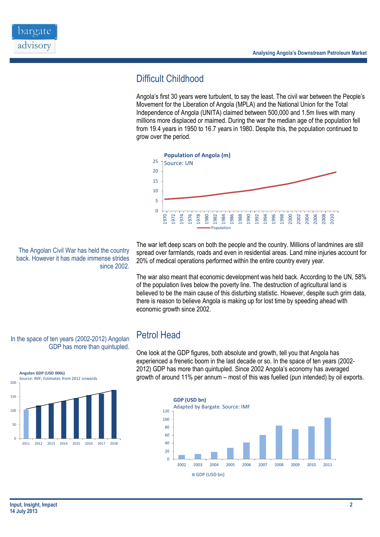

## Difficult Childhood

Angola's first 30 years were turbulent, to say the least. The civil war between the People's Movement for the Liberation of Angola (MPLA) and the National Union for the Total Independence of Angola (UNITA) claimed between 500,000 and 1.5m lives with many millions more displaced or maimed. During the war the median age of the population fell from 19.4 years in 1950 to 16.7 years in 1980. Despite this, the population continued to grow over the period.



The war left deep scars on both the people and the country. Millions of landmines are still spread over farmlands, roads and even in residential areas. Land mine injuries account for

The war also meant that economic development was held back. According to the UN, 58% of the population lives below the poverty line. The destruction of agricultural land is believed to be the main cause of this disturbing statistic. However, despite such grim data, there is reason to believe Angola is making up for lost time by speeding ahead with economic growth since 2002.

#### In the space of ten years (2002-2012) Angolan GDP has more than quintupled.

The Angolan Civil War has held the country back. However it has made immense strides

since 2002.



### Petrol Head

One look at the GDP figures, both absolute and growth, tell you that Angola has experienced a frenetic boom in the last decade or so. In the space of ten years (2002- 2012) GDP has more than quintupled. Since 2002 Angola's economy has averaged growth of around 11% per annum – most of this was fuelled (pun intended) by oil exports.



20% of medical operations performed within the entire country every year.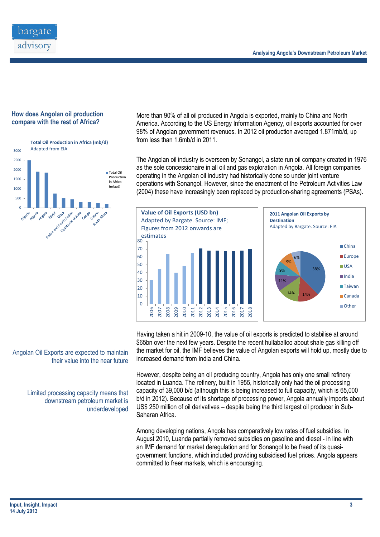

#### **How does Angolan oil production compare with the rest of Africa?**



More than 90% of all oil produced in Angola is exported, mainly to China and North America. According to the US Energy Information Agency, oil exports accounted for over 98% of Angolan government revenues. In 2012 oil production averaged 1.871mb/d, up from less than 1.6mb/d in 2011.

The Angolan oil industry is overseen by Sonangol, a state run oil company created in 1976 as the sole concessionaire in all oil and gas exploration in Angola. All foreign companies operating in the Angolan oil industry had historically done so under joint venture operations with Sonangol. However, since the enactment of the Petroleum Activities Law (2004) these have increasingly been replaced by production-sharing agreements (PSAs).



Having taken a hit in 2009-10, the value of oil exports is predicted to stabilise at around \$65bn over the next few years. Despite the recent hullaballoo about shale gas killing off the market for oil, the IMF believes the value of Angolan exports will hold up, mostly due to increased demand from India and China.

However, despite being an oil producing country, Angola has only one small refinery located in Luanda. The refinery, built in 1955, historically only had the oil processing capacity of 39,000 b/d (although this is being increased to full capacity, which is 65,000 b/d in 2012). Because of its shortage of processing power, Angola annually imports about US\$ 250 million of oil derivatives – despite being the third largest oil producer in Sub-Saharan Africa.

Among developing nations, Angola has comparatively low rates of fuel subsidies. In August 2010, Luanda partially removed subsidies on gasoline and diesel - in line with an [IMF](http://financial-dictionary.thefreedictionary.com/IMF) demand for market [deregulation](http://financial-dictionary.thefreedictionary.com/deregulation) and for Sonangol to be freed of its quasigovernment functions, which included providing subsidised fuel prices. Angola appears committed to freer markets, which is encouraging.

Angolan Oil Exports are expected to maintain their value into the near future

> Limited processing capacity means that downstream petroleum market is underdeveloped

> > .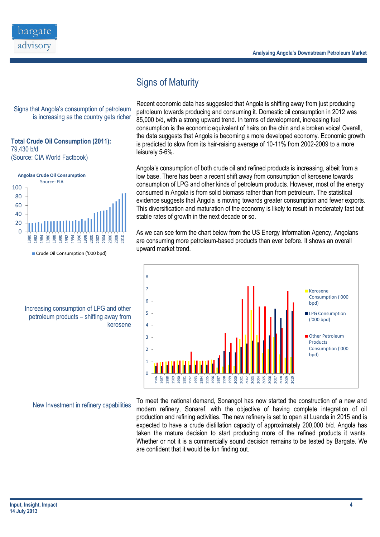

Signs of Maturity

Signs that Angola's consumption of petroleum is increasing as the country gets richer

#### **Total Crude Oil Consumption (2011):** 79,430 b/d (Source: CIA World Factbook)



Crude Oil Consumption ('000 bpd)

Increasing consumption of LPG and other petroleum products – shifting away from kerosene

New Investment in refinery capabilities

Recent economic data has suggested that Angola is shifting away from just producing petroleum towards producing and consuming it. Domestic oil consumption in 2012 was 85,000 b/d, with a strong upward trend. In terms of development, increasing fuel consumption is the economic equivalent of hairs on the chin and a broken voice! Overall, the data suggests that Angola is becoming a more developed economy. Economic growth is predicted to slow from its hair-raising average of 10-11% from 2002-2009 to a more leisurely 5-6%.

Angola's consumption of both crude oil and refined products is increasing, albeit from a low base. There has been a recent shift away from consumption of kerosene towards consumption of LPG and other kinds of petroleum products. However, most of the energy consumed in Angola is from solid biomass rather than from petroleum. The statistical evidence suggests that Angola is moving towards greater consumption and fewer exports. This diversification and maturation of the economy is likely to result in moderately fast but stable rates of growth in the next decade or so.

As we can see form the chart below from the US Energy Information Agency, Angolans are consuming more petroleum-based products than ever before. It shows an overall upward market trend.



To meet the national demand, Sonangol has now started the construction of a new and modern refinery, Sonaref, with the objective of having complete integration of oil production and refining activities. The new refinery is set to open at Luanda in 2015 and is expected to have a crude distillation capacity of approximately 200,000 b/d. Angola has taken the mature decision to start producing more of the refined products it wants. Whether or not it is a commercially sound decision remains to be tested by Bargate. We are confident that it would be fun finding out.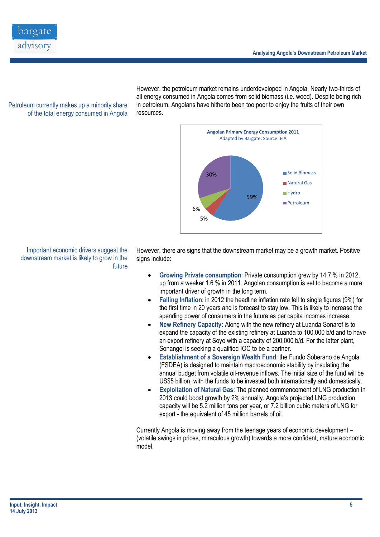

Petroleum currently makes up a minority share of the total energy consumed in Angola

However, the petroleum market remains underdeveloped in Angola. Nearly two-thirds of all energy consumed in Angola comes from solid biomass (i.e. wood). Despite being rich in petroleum, Angolans have hitherto been too poor to enjoy the fruits of their own resources.



Important economic drivers suggest the downstream market is likely to grow in the future

However, there are signs that the downstream market may be a growth market. Positive signs include:

- **Growing Private consumption**: Private consumption grew by 14.7 % in 2012, up from a weaker 1.6 % in 2011. Angolan consumption is set to become a more important driver of growth in the long term.
- **Falling Inflation**: in 2012 the headline inflation rate fell to single figures (9%) for the first time in 20 years and is forecast to stay low. This is likely to increase the spending power of consumers in the future as per capita incomes increase.
- **New Refinery Capacity:** Along with the new refinery at Luanda Sonaref is to expand the capacity of the existing refinery at Luanda to 100,000 b/d and to have an export refinery at Soyo with a capacity of 200,000 b/d. For the latter plant, Sonangol is seeking a qualified IOC to be a partner.
- **Establishment of a Sovereign Wealth Fund**: the Fundo Soberano de Angola (FSDEA) is designed to maintain macroeconomic stability by insulating the annual budget from volatile oil-revenue inflows. The initial size of the fund will be US\$5 billion, with the funds to be invested both internationally and domestically.
- **Exploitation of Natural Gas**: The planned commencement of LNG production in 2013 could boost growth by 2% annually. Angola's projected LNG production capacity will be 5.2 million tons per year, or 7.2 billion cubic meters of LNG for export - the equivalent of 45 million barrels of oil.

Currently Angola is moving away from the teenage years of economic development – (volatile swings in prices, miraculous growth) towards a more confident, mature economic model.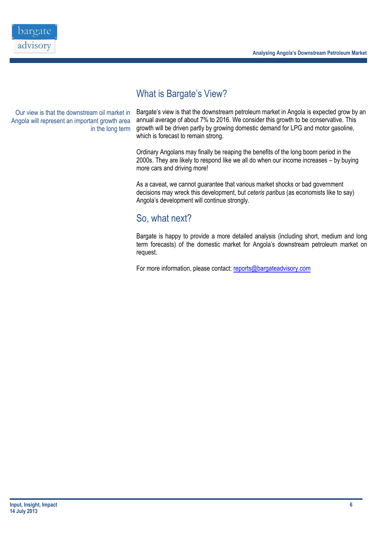

### What is Bargate's View?

Our view is that the downstream oil market in Angola will represent an important growth area in the long term

Bargate's view is that the downstream petroleum market in Angola is expected grow by an annual average of about 7% to 2016. We consider this growth to be conservative. This growth will be driven partly by growing domestic demand for LPG and motor gasoline, which is forecast to remain strong.

Ordinary Angolans may finally be reaping the benefits of the long boom period in the 2000s. They are likely to respond like we all do when our income increases – by buying more cars and driving more!

As a caveat, we cannot guarantee that various market shocks or bad government decisions may wreck this development, but *ceteris paribus* (as economists like to say) Angola's development will continue strongly.

### So, what next?

Bargate is happy to provide a more detailed analysis (including short, medium and long term forecasts) of the domestic market for Angola's downstream petroleum market on request.

For more information, please contact[: reports@bargateadvisory.com](mailto:info@bargateadvisory.com)